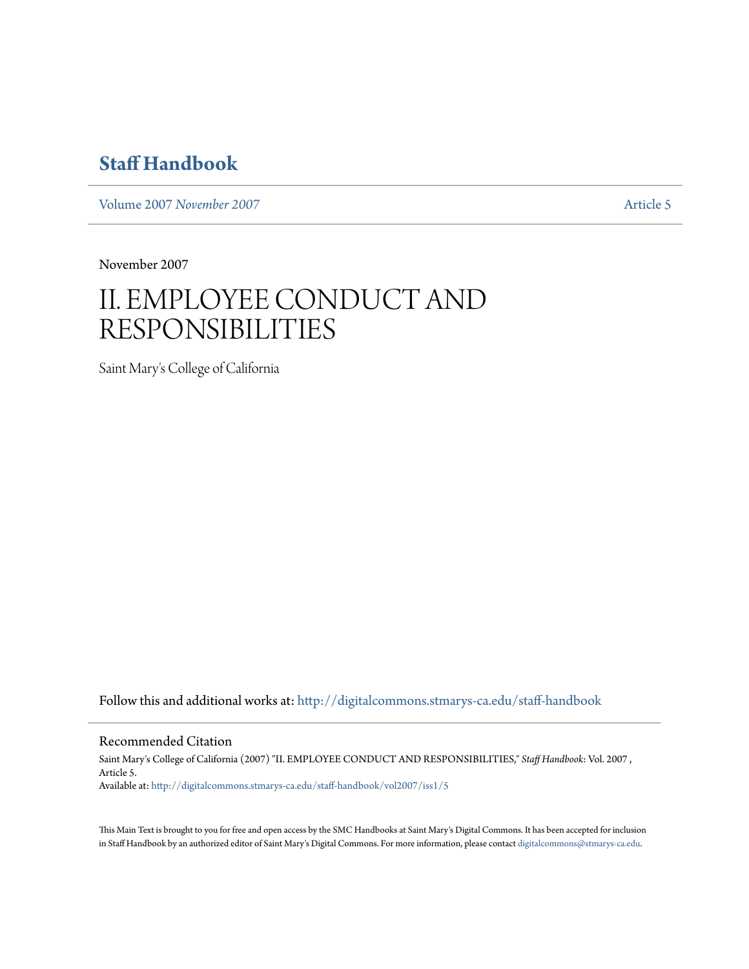# **[Staff Handbook](http://digitalcommons.stmarys-ca.edu/staff-handbook?utm_source=digitalcommons.stmarys-ca.edu%2Fstaff-handbook%2Fvol2007%2Fiss1%2F5&utm_medium=PDF&utm_campaign=PDFCoverPages)**

Volume 2007 *[November 2007](http://digitalcommons.stmarys-ca.edu/staff-handbook/vol2007?utm_source=digitalcommons.stmarys-ca.edu%2Fstaff-handbook%2Fvol2007%2Fiss1%2F5&utm_medium=PDF&utm_campaign=PDFCoverPages)* [Article 5](http://digitalcommons.stmarys-ca.edu/staff-handbook/vol2007/iss1/5?utm_source=digitalcommons.stmarys-ca.edu%2Fstaff-handbook%2Fvol2007%2Fiss1%2F5&utm_medium=PDF&utm_campaign=PDFCoverPages)

November 2007

# II. EMPLOYEE CONDUCT AND RESPONSIBILITIES

Saint Mary's College of California

Follow this and additional works at: [http://digitalcommons.stmarys-ca.edu/staff-handbook](http://digitalcommons.stmarys-ca.edu/staff-handbook?utm_source=digitalcommons.stmarys-ca.edu%2Fstaff-handbook%2Fvol2007%2Fiss1%2F5&utm_medium=PDF&utm_campaign=PDFCoverPages)

Recommended Citation

Saint Mary's College of California (2007) "II. EMPLOYEE CONDUCT AND RESPONSIBILITIES," *Staff Handbook*: Vol. 2007 , Article 5. Available at: [http://digitalcommons.stmarys-ca.edu/staff-handbook/vol2007/iss1/5](http://digitalcommons.stmarys-ca.edu/staff-handbook/vol2007/iss1/5?utm_source=digitalcommons.stmarys-ca.edu%2Fstaff-handbook%2Fvol2007%2Fiss1%2F5&utm_medium=PDF&utm_campaign=PDFCoverPages)

This Main Text is brought to you for free and open access by the SMC Handbooks at Saint Mary's Digital Commons. It has been accepted for inclusion in Staff Handbook by an authorized editor of Saint Mary's Digital Commons. For more information, please contact [digitalcommons@stmarys-ca.edu.](mailto:digitalcommons@stmarys-ca.edu)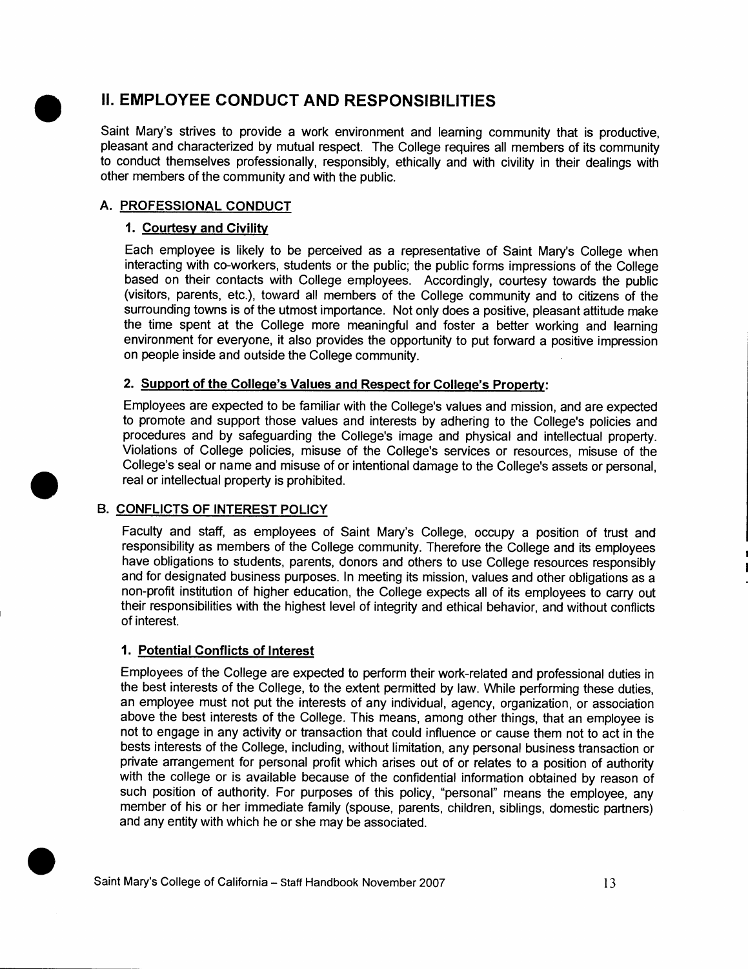## **II. EMPLOYEE CONDUCT AND RESPONSIBILITIES**

Saint Mary's strives to provide a work environment and learning community that is productive, pleasant and characterized by mutual respect. The College requires all members of its community to conduct themselves professionally, responsibly, ethically and with civility in their dealings with other members of the community and with the public.

### **A. PROFESSIONAL CONDUCT**

•

•

#### **1. Courtesy and Civility**

Each employee is likely to be perceived as a representative of Saint Mary's College when interacting with co-workers, students or the public; the public forms impressions of the College based on their contacts with College employees. Accordingly, courtesy towards the public (visitors, parents, etc.), toward all members of the College community and to citizens of the surrounding towns is of the utmost importance. Not only does a positive, pleasant attitude make the time spent at the College more meaningful and foster a better working and learning environment for everyone, it also provides the opportunity to put forward a positive impression on people inside and outside the College community.

### **2. Support of the College's Values and Respect for College's Property:**

Employees are expected to be familiar with the College's values and mission, and are expected to promote and support those values and interests by adhering to the College's policies and procedures and by safeguarding the College's image and physical and intellectual property. Violations of College policies, misuse of the College's services or resources, misuse of the College's seal or name and misuse of or intentional damage to the College's assets or personal, real or intellectual property is prohibited.

#### **B. CONFLICTS OF INTEREST POLICY**

Faculty and staff, as employees of Saint Mary's College, occupy a position of trust and responsibility as members of the College community. Therefore the College and its employees have obligations to students, parents, donors and others to use College resources responsibly and for designated business purposes. In meeting its mission, values and other obligations as a non-profit institution of higher education, the College expects all of its employees to carry out their responsibilities with the highest level of integrity and ethical behavior, and without conflicts of interest.

#### **1. Potential Conflicts of Interest**

Employees of the College are expected to perform their work-related and professional duties in the best interests of the College, to the extent permitted by law. While performing these duties, an employee must not put the interests of any individual, agency, organization, or association above the best interests of the College. This means, among other things, that an employee is not to engage in any activity or transaction that could influence or cause them not to act in the bests interests of the College, including, without limitation, any personal business transaction or private arrangement for personal profit which arises out of or relates to a position of authority with the college or is available because of the confidential information obtained by reason of such position of authority. For purposes of this policy, "personal" means the employee, any member of his or her immediate family (spouse, parents, children, siblings, domestic partners)<br>and any entity with which he or she may be associated. such position of authority. For purposes of this policy<br>member of his or her immediate family (spouse, parent<br>and any entity with which he or she may be associated.<br>Saint Mary's College of California – Staff Handbook Novem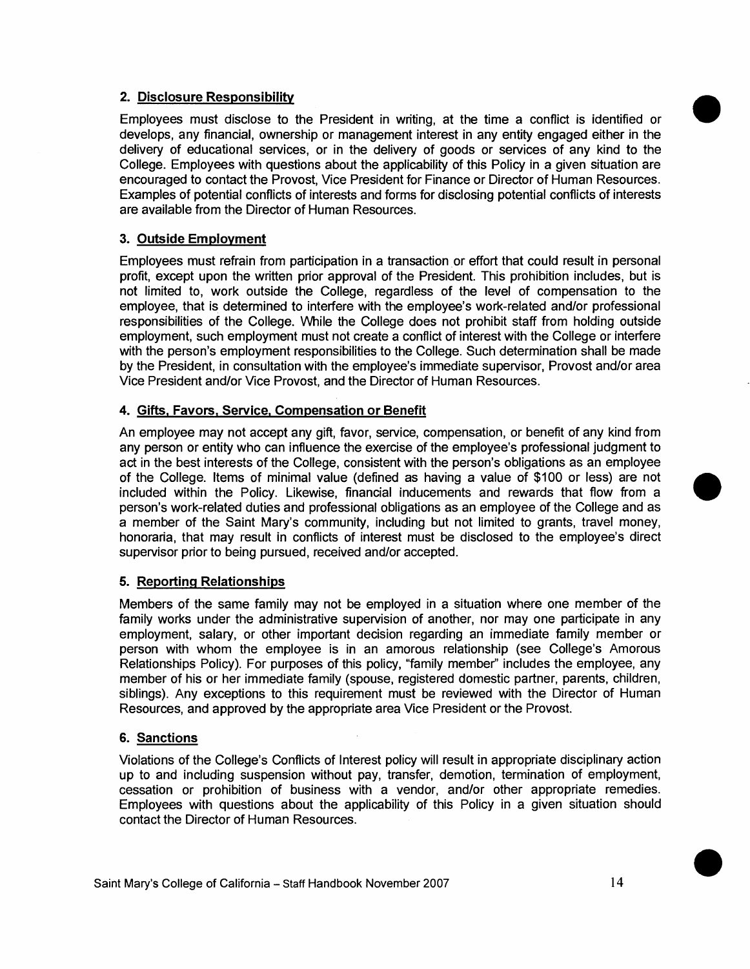#### **2. Disclosure Responsibility**

Employees must disclose to the President in writing, at the time a conflict is identified or develops, any financial, ownership or management interest in any entity engaged either in the delivery of educational services, or in the delivery of goods or services of any kind to the College. Employees with questions about the applicability of this Policy in a given situation are encouraged to contact the Provost, Vice President for Finance or Director of Human Resources. Examples of potential conflicts of interests and forms for disclosing potential conflicts of interests are available from the Director of Human Resources.

#### **3. Outside Employment**

Employees must refrain from participation in a transaction or effort that could result in personal profit, except upon the written prior approval of the President. This prohibition includes, but is not limited to, work outside the College, regardless of the level of compensation to the employee, that is determined to interfere with the employee's work-related and/or professional responsibilities of the College. While the College does not prohibit staff from holding outside employment, such employment must not create a conflict of interest with the College or interfere with the person's employment responsibilities to the College. Such determination shall be made by the President, in consultation with the employee's immediate supervisor, Provost and/or area Vice President and/or Vice Provost, and the Director of Human Resources.

#### **4. Gifts, Favors, Service, Compensation or Benefit**

An employee may not accept any gift, favor, service, compensation, or benefit of any kind from any person or entity who can influence the exercise of the employee's professional judgment to act in the best interests of the College, consistent with the person's obligations as an employee of the College. Items of minimal value (defined as having a value of \$100 or less) are not included within the Policy. Likewise, financial inducements and rewards that flow from a person's work-related duties and professional obligations as an employee of the College and as a member of the Saint Mary's community, including but not limited to grants, travel money, honoraria, that may result in conflicts of interest must be disclosed to the employee's direct supervisor prior to being pursued, received and/or accepted.

#### **5. Reporting Relationships**

Members of the same family may not be employed in a situation where one member of the family works under the administrative supervision of another, nor may one participate in any employment, salary, or other important decision regarding an immediate family member or person with whom the employee is in an amorous relationship (see College's Amorous Relationships Policy). For purposes of this policy, "family member" includes the employee, any member of his or her immediate family (spouse, registered domestic partner, parents, children, siblings). Any exceptions to this requirement must be reviewed with the Director of Human Resources, and approved by the appropriate area Vice President or the Provost.

#### **6. Sanctions**

Violations of the College's Conflicts of Interest policy will result in appropriate disciplinary action up to and including suspension without pay, transfer, demotion, termination of employment, cessation or prohibition of business with a vendor, and/or other appropriate remedies. Employees with questions about the applicability of this Policy in a given situation should contact the Director of Human Resources.

•

•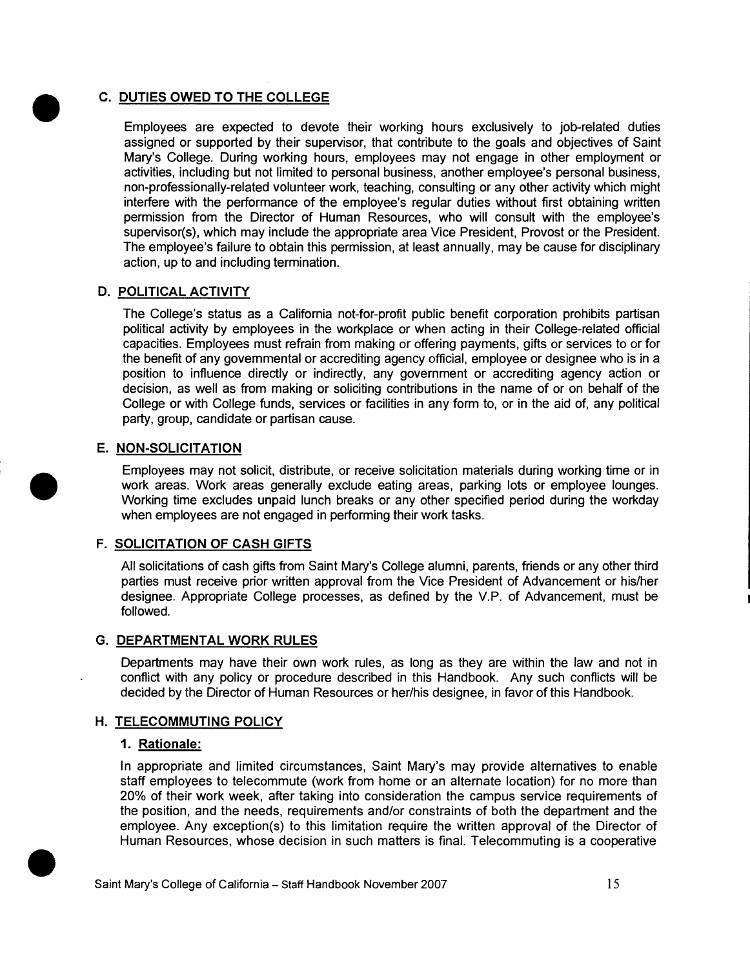**C. <u>DUTIES OWED TO THE COLLEGE</u>**<br>Employees are expected to devote Employees are expected to devote their working hours exclusively to job-related duties assigned or supported by their supervisor, that contribute to the goals and objectives of Saint Mary's College. During working hours, employees may not engage in other employment or activities, including but not limited to personal business, another employee's personal business, non-professionally-related volunteer work, teaching, consulting or any other activity which might interfere with the performance of the employee's regular duties without first obtaining written permission from the Director of Human Resources, who will consult with the employee's supervisor(s), which may include the appropriate area Vice President, Provost or the President. The employee's failure to obtain this permission, at least annually, may be cause for disciplinary action, up to and including termination.

#### **D. POLITICAL ACTIVITY**

The College's status as a California not-for-profit public benefit corporation prohibits partisan political activity by employees in the workplace or when acting in their College-related official capacities. Employees must refrain from making or offering payments, gifts or services to or for the benefit of any governmental or accrediting agency official, employee or designee who is in a position to influence directly or indirectly, any government or accrediting agency action or decision, as well as from making or soliciting contributions in the name of or on behalf of the College or with College funds, services or facilities in any form to, or in the aid of, any political party, group, candidate or partisan cause.

#### **E. NON-SOLICITATION**

Employees may not solicit, distribute, or receive solicitation materials during working time or in work areas. Work areas generally exclude eating areas, parking lots or employee lounges. Working time excludes unpaid lunch breaks or any other specified period during the workday when employees are not engaged in performing their work tasks.

#### **F. SOLICITATION OF CASH GIFTS**

All solicitations of cash gifts from Saint Mary's College alumni, parents, friends or any other third parties must receive prior written approval from the Vice President of Advancement or his/her designee. Appropriate College processes, as defined by the V.P. of Advancement, must be followed.

#### **G. DEPARTMENTAL WORK RULES**

Departments may have their own work rules, as long as they are within the law and not in conflict with any policy or procedure described in this Handbook. Any such conflicts will be decided by the Director of Human Resources or her/his designee, in favor of this Handbook.

#### **H. TELECOMMUTING POLICY**

#### **1. Rationale:**

In appropriate and limited circumstances, Saint Mary's may provide alternatives to enable staff employees to telecommute (work from home or an alternate location) for no more than 20% of their work week, after taking into consideration the campus service requirements of the position, and the needs, requirements and/or constraints of both the department and the employee. Any exception(s) to this limi the position, and the needs, requirements and/or constraints of both the department and the employee. Any exception(s) to this limitation require the written approval of the Director of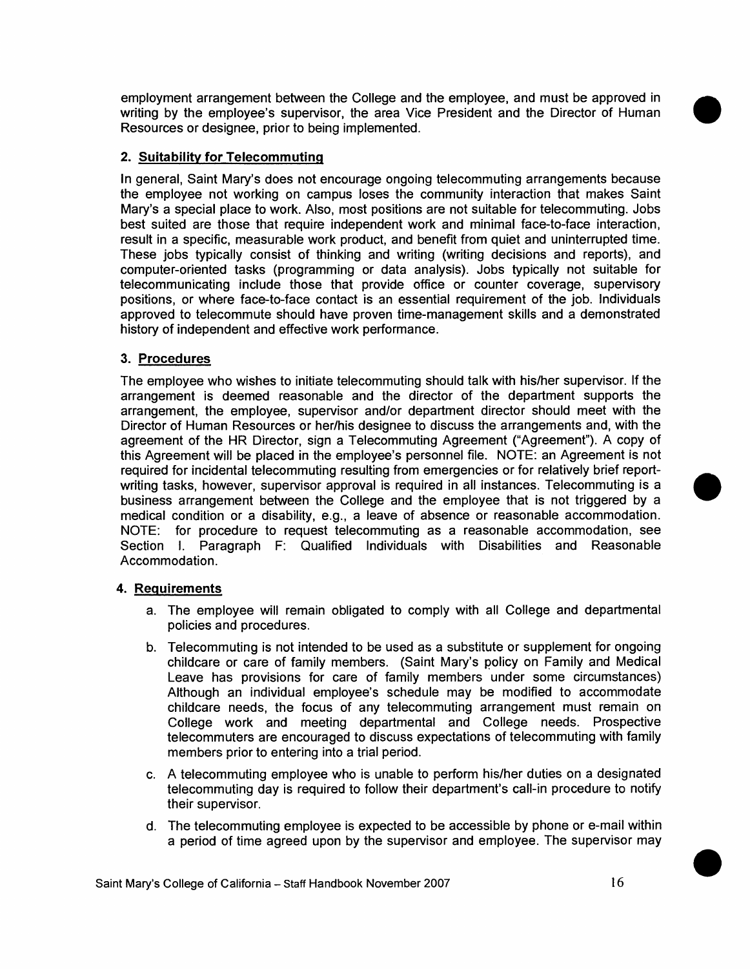employment arrangement between the College and the employee, and must be approved in writing by the employee's supervisor, the area Vice President and the Director of Human Resources or designee, prior to being implemented.

#### **2. Suitability for Telecommutinq**

In general, Saint Mary's does not encourage ongoing telecommuting arrangements because the employee not working on campus loses the community interaction that makes Saint Mary's a special place to work. Also, most positions are not suitable for telecommuting. Jobs best suited are those that require independent work and minimal face-to-face interaction, result in a specific, measurable work product, and benefit from quiet and uninterrupted time. These jobs typically consist of thinking and writing (writing decisions and reports), and computer-oriented tasks (programming or data analysis). Jobs typically not suitable for telecommunicating include those that provide office or counter coverage, supervisory positions, or where face-to-face contact is an essential requirement of the job. Individuals approved to telecommute should have proven time-management skills and a demonstrated history of independent and effective work performance.

#### **3. Procedures**

The employee who wishes to initiate telecommuting should talk with his/her supervisor. If the arrangement is deemed reasonable and the director of the department supports the arrangement, the employee, supervisor and/or department director should meet with the Director of Human Resources or her/his designee to discuss the arrangements and, with the agreement of the HR Director, sign a Telecommuting Agreement ("Agreement"). A copy of this Agreement will be placed in the employee's personnel file. NOTE: an Agreement is not required for incidental telecommuting resulting from emergencies or for relatively brief reportwriting tasks, however, supervisor approval is required in all instances. Telecommuting is a business arrangement between the College and the employee that is not triggered by a medical condition or a disability, e.g., a leave of absence or reasonable accommodation. NOTE: for procedure to request telecommuting as a reasonable accommodation, see Section I. Paragraph F: Qualified Individuals with Disabilities and Reasonable Accommodation.

#### **4. Requirements**

- a. The employee will remain obligated to comply with all College and departmental policies and procedures.
- b. Telecommuting is not intended to be used as a substitute or supplement for ongoing childcare or care of family members. (Saint Mary's policy on Family and Medical Leave has provisions for care of family members under some circumstances) Although an individual employee's schedule may be modified to accommodate childcare needs, the focus of any telecommuting arrangement must remain on College work and meeting departmental and College needs. Prospective telecommuters are encouraged to discuss expectations of telecommuting with family members prior to entering into a trial period.
- c. A telecommuting employee who is unable to perform his/her duties on a designated telecommuting day is required to follow their department's call-in procedure to notify their supervisor.
- d. The telecommuting employee is expected to be accessible by phone or e-mail within a period of time agreed upon by the supervisor and employee. The supervisor may

•

•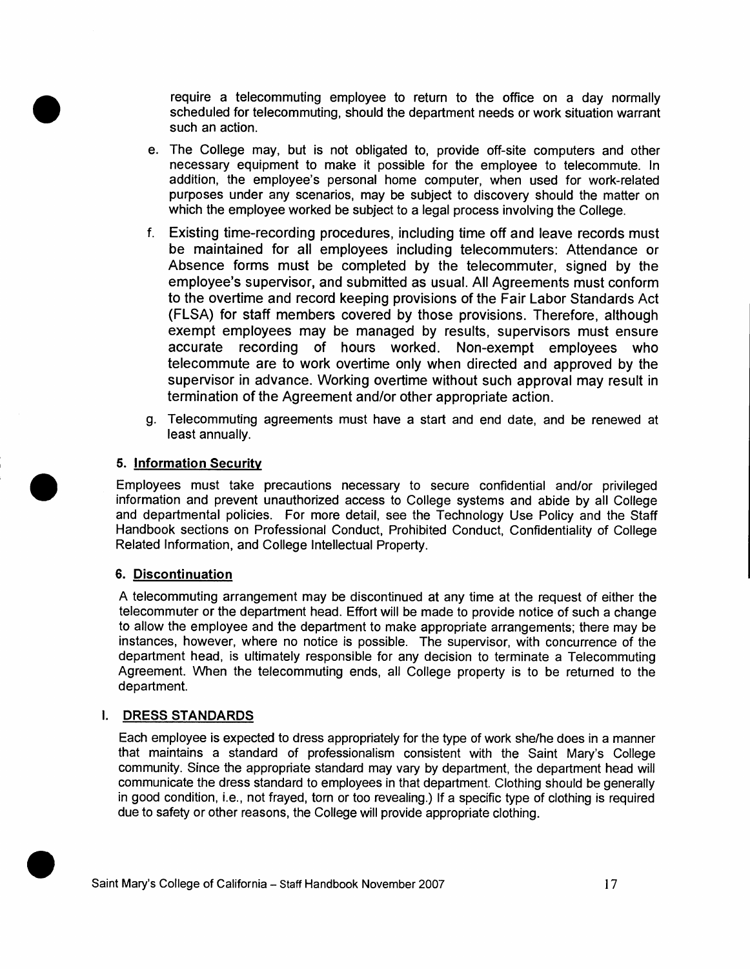**require a telecommuting employee to return to the office on a day normally scheduled for telecommuting, should the department needs or work situation warrant such an action. scheduled for telecommuting, should the department needs or work situation warrant such an action.** 

- **e. The College may, but is not obligated to, provide off-site computers and other necessary equipment to make it possible for the employee to telecommute. In addition, the employee's personal home computer, when used for work-related purposes under any scenarios, may be subject to discovery should the matter on which the employee worked be subject to a legal process involving the College.**
- **f. Existing time-recording procedures, including time off and leave records must be maintained for all employees including telecommuters: Attendance or Absence forms must be completed by the telecommuter, signed by the employee's supervisor, and submitted as usual. All Agreements must conform to the overtime and record keeping provisions of the Fair Labor Standards Act (FLSA) for staff members covered by those provisions. Therefore, although exempt employees may be managed by results, supervisors must ensure accurate recording of hours worked. Non-exempt employees who telecommute are to work overtime only when directed and approved by the supervisor in advance. Working overtime without such approval may result in termination of the Agreement and/or other appropriate action.**
- **g. Telecommuting agreements must have a start and end date, and be renewed at least annually.**

#### **5. Information Security**

**Employees must take precautions necessary to secure confidential and/or privileged information and prevent unauthorized access to College systems and abide by all College and departmental policies. For more detail, see the Technology Use Policy and the Staff Handbook sections on Professional Conduct, Prohibited Conduct, Confidentiality of College Related Information, and College Intellectual Property.** 

#### **6. Discontinuation**

**A telecommuting arrangement may be discontinued at any time at the request of either the telecommuter or the department head. Effort will be made to provide notice of such a change to allow the employee and the department to make appropriate arrangements; there may be instances, however, where no notice is possible. The supervisor, with concurrence of the department head, is ultimately responsible for any decision to terminate a Telecommuting Agreement. When the telecommuting ends, all College property is to be returned to the department.** 

#### **I. DRESS STANDARDS**

**f** 

**Each employee is expected to dress appropriately for the type of work she/he does in a manner that maintains a standard of professionalism consistent with the Saint Mary's College community. Since the appropriate standard may vary by department, the department head will communicate the dress standard to employees in that department. Clothing should be generally in good condition, i.e., not frayed, torn or too revealing.) If a specific type of clothing is required due to safety or other reasons, the College will provide appropriate clothing.**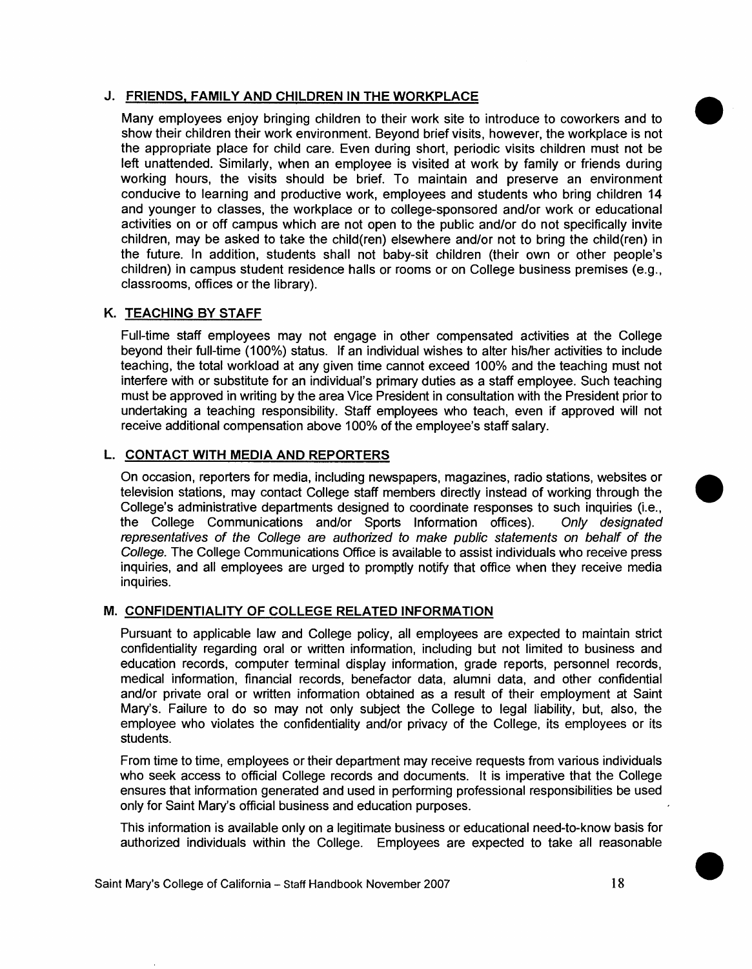#### **J. FRIENDS, FAMILY AND CHILDREN IN THE WORKPLACE**

Many employees enjoy bringing children to their work site to introduce to coworkers and to show their children their work environment. Beyond brief visits, however, the workplace is not the appropriate place for child care. Even during short, periodic visits children must not be left unattended. Similarly, when an employee is visited at work by family or friends during working hours, the visits should be brief. To maintain and preserve an environment conducive to learning and productive work, employees and students who bring children 14 and younger to classes, the workplace or to college-sponsored and/or work or educational activities on or off campus which are not open to the public and/or do not specifically invite children, may be asked to take the child(ren) elsewhere and/or not to bring the child(ren) in the future. In addition, students shall not baby-sit children (their own or other people's children) in campus student residence halls or rooms or on College business premises (e.g., classrooms, offices or the library).

#### **K. TEACHING BY STAFF**

Full-time staff employees may not engage in other compensated activities at the College beyond their full-time (100%) status. If an individual wishes to alter his/her activities to include teaching, the total workload at any given time cannot exceed 100% and the teaching must not interfere with or substitute for an individual's primary duties as a staff employee. Such teaching must be approved in writing by the area Vice President in consultation with the President prior to undertaking a teaching responsibility. Staff employees who teach, even if approved will not receive additional compensation above 100% of the employee's staff salary.

#### **L. CONTACT WITH MEDIA AND REPORTERS**

On occasion, reporters for media, including newspapers, magazines, radio stations, websites or television stations, may contact College staff members directly instead of working through the College's administrative departments designed to coordinate responses to such inquiries (i.e., the College Communications and/or Sports Information offices). Only designated representatives of the College are authorized to make public statements on behalf of the College. The College Communications Office is available to assist individuals who receive press inquiries, and all employees are urged to promptly notify that office when they receive media inquiries.

#### **M. CONFIDENTIALITY OF COLLEGE RELATED INFORMATION**

Pursuant to applicable law and College policy, all employees are expected to maintain strict confidentiality regarding oral or written information, including but not limited to business and education records, computer terminal display information, grade reports, personnel records, medical information, financial records, benefactor data, alumni data, and other confidential and/or private oral or written information obtained as a result of their employment at Saint Mary's. Failure to do so may not only subject the College to legal liability, but, also, the employee who violates the confidentiality and/or privacy of the College, its employees or its students.

From time to time, employees or their department may receive requests from various individuals who seek access to official College records and documents. It is imperative that the College ensures that information generated and used in performing professional responsibilities be used only for Saint Mary's official business and education purposes.

This information is available only on a legitimate business or educational need-to-know basis for authorized individuals within the College. Employees are expected to take all reasonable •

•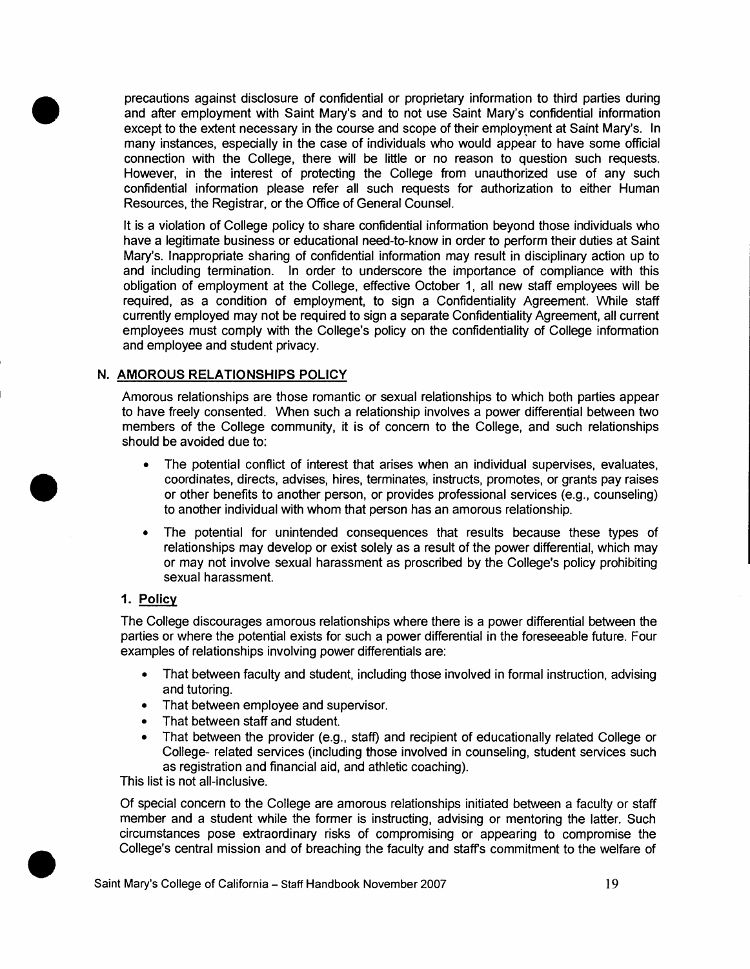precautions against disclosure of confidential or proprietary information to third parties during and after employment with Saint Mary's and to not use Saint Mary's confidential information except to the extent necessary in the course and scope of their employment at Saint Mary's. In many instances, especially in the case of individuals who would appear to have some official connection with the College, there will be little or no reason to question such requests. However, in the interest of protecting the College from unauthorized use of any such confidential information please refer all such requests for authorization to either Human Resources, the Registrar, or the Office of General Counsel.

It is a violation of College policy to share confidential information beyond those individuals who have a legitimate business or educational need-to-know in order to perform their duties at Saint Mary's. Inappropriate sharing of confidential information may result in disciplinary action up to and including termination. In order to underscore the importance of compliance with this obligation of employment at the College, effective October 1, all new staff employees will be required, as a condition of employment, to sign a Confidentiality Agreement. While staff currently employed may not be required to sign a separate Confidentiality Agreement, all current employees must comply with the College's policy on the confidentiality of College information and employee and student privacy.

#### **N. AMOROUS RELATIONSHIPS POLICY**

Amorous relationships are those romantic or sexual relationships to which both parties appear to have freely consented. When such a relationship involves a power differential between two members of the College community, it is of concern to the College, and such relationships should be avoided due to:

- The potential conflict of interest that arises when an individual supervises, evaluates, coordinates, directs, advises, hires, terminates, instructs, promotes, or grants pay raises or other benefits to another person, or provides professional services (e.g., counseling) to another individual with whom that person has an amorous relationship.
- The potential for unintended consequences that results because these types of relationships may develop or exist solely as a result of the power differential, which may or may not involve sexual harassment as proscribed by the College's policy prohibiting sexual harassment.

#### **1. Policy**

•

•

•

The College discourages amorous relationships where there is a power differential between the parties or where the potential exists for such a power differential in the foreseeable future. Four examples of relationships involving power differentials are:

- That between faculty and student, including those involved in formal instruction, advising and tutoring.
- That between employee and supervisor.
- That between staff and student.
- That between the provider (e.g., staff) and recipient of educationally related College or College- related services (including those involved in counseling, student services such as registration and financial aid, and athletic coaching).

This list is not all-inclusive.

Of special concern to the College are amorous relationships initiated between a faculty or staff member and a student while the former is instructing, advising or mentoring the latter. Such circumstances pose extraordinary risks of compromising or appearing to compromise the College's central mission and of breaching the faculty and staffs commitment to the welfare of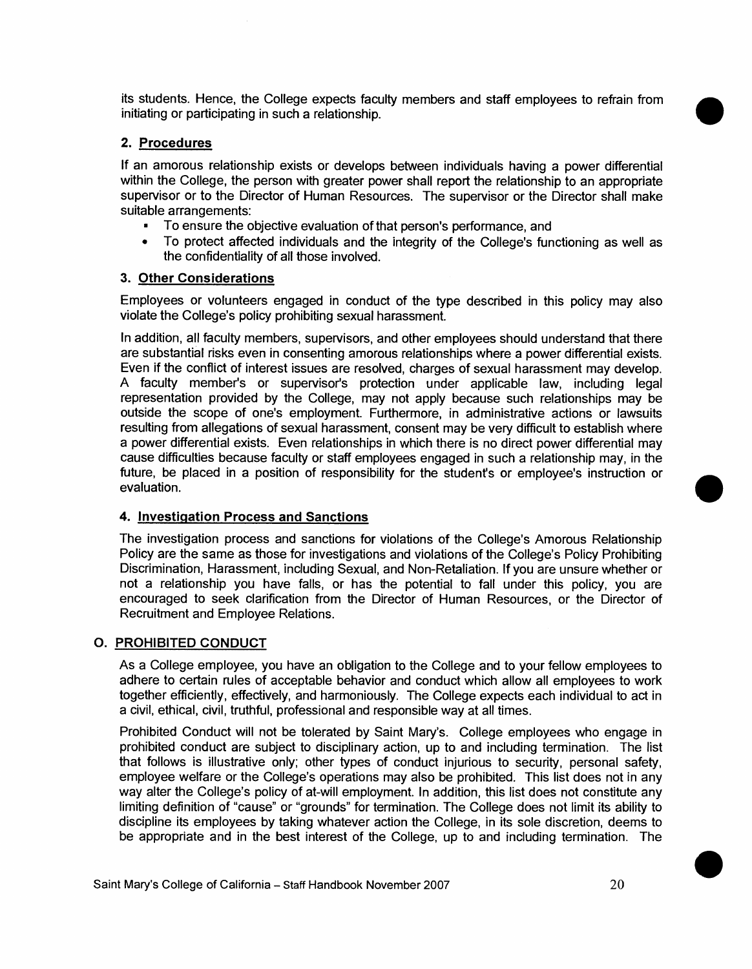its students. Hence, the College expects faculty members and staff employees to refrain from initiating or participating in such a relationship.

#### **2. Procedures**

**If** an amorous relationship exists or develops between individuals having a power differential within the College, the person with greater power shall report the relationship to an appropriate supervisor or to the Director of Human Resources. The supervisor or the Director shall make suitable arrangements:

- To ensure the objective evaluation of that person's performance, and
- To protect affected individuals and the integrity of the College's functioning as well as the confidentiality of all those involved.

#### **3. Other Considerations**

Employees or volunteers engaged in conduct of the type described in this policy may also violate the College's policy prohibiting sexual harassment.

In addition, all faculty members, supervisors, and other employees should understand that there are substantial risks even in consenting amorous relationships where a power differential exists. Even if the conflict of interest issues are resolved, charges of sexual harassment may develop. A faculty member's or supervisor's protection under applicable law, including legal representation provided by the College, may not apply because such relationships may be outside the scope of one's employment. Furthermore, in administrative actions or lawsuits resulting from allegations of sexual harassment, consent may be very difficult to establish where a power differential exists. Even relationships in which there is no direct power differential may cause difficulties because faculty or staff employees engaged in such a relationship may, in the future, be placed in a position of responsibility for the student's or employee's instruction or evaluation.

#### **4. Investigation Process and Sanctions**

The investigation process and sanctions for violations of the College's Amorous Relationship Policy are the same as those for investigations and violations of the College's Policy Prohibiting Discrimination, Harassment, including Sexual, and Non-Retaliation. If you are unsure whether or not a relationship you have falls, or has the potential to fall under this policy, you are encouraged to seek clarification from the Director of Human Resources, or the Director of Recruitment and Employee Relations.

#### **0. PROHIBITED CONDUCT**

As a College employee, you have an obligation to the College and to your fellow employees to adhere to certain rules of acceptable behavior and conduct which allow all employees to work together efficiently, effectively, and harmoniously. The College expects each individual to act in a civil, ethical, civil, truthful, professional and responsible way at all times.

Prohibited Conduct will not be tolerated by Saint Mary's. College employees who engage in prohibited conduct are subject to disciplinary action, up to and including termination. The list that follows is illustrative only; other types of conduct injurious to security, personal safety, employee welfare or the College's operations may also be prohibited. This list does not in any way alter the College's policy of at-will employment. In addition, this list does not constitute any limiting definition of "cause" or "grounds" for termination. The College does not limit its ability to discipline its employees by taking whatever action the College, in its sole discretion, deems to be appropriate and in the best interest of the College, up to and including termination. The

•

•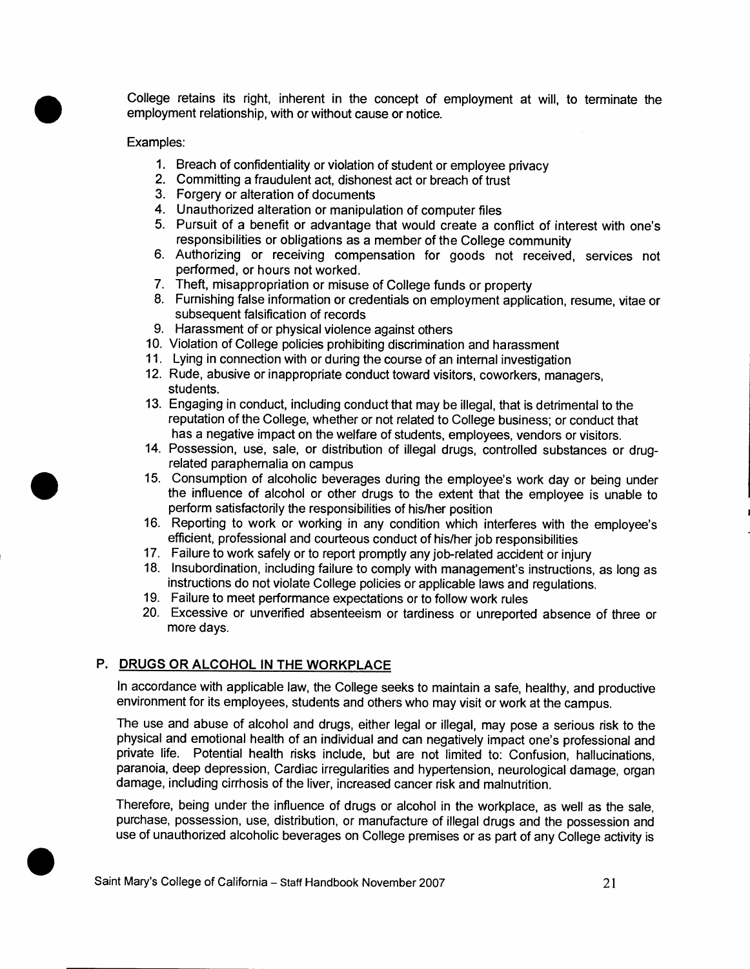**College retains its right, inherent in the concept of employment at will, to terminate the employment relationship, with or without cause or notice.** 

#### **Examples:**

•

•

- **1. Breach of confidentiality or violation of student or employee privacy**
- **2. Committing a fraudulent act, dishonest act or breach of trust**
- **3. Forgery or alteration of documents**
- **4. Unauthorized alteration or manipulation of computer files**
- **5. Pursuit of a benefit or advantage that would create a conflict of interest with one's responsibilities or obligations as a member of the College community**
- **6. Authorizing or receiving compensation for goods not received, services not performed, or hours not worked.**
- **7. Theft, misappropriation or misuse of College funds or property**
- **8. Furnishing false information or credentials on employment application, resume, vitae or subsequent falsification of records**
- **9. Harassment of or physical violence against others**
- **10. Violation of College policies prohibiting discrimination and harassment**
- **11. Lying in connection with or during the course of an internal investigation**
- **12. Rude, abusive or inappropriate conduct toward visitors, coworkers, managers, students.**
- **13. Engaging in conduct, including conduct that may be illegal, that is detrimental to the reputation of the College, whether or not related to College business; or conduct that has a negative impact on the welfare of students, employees, vendors or visitors.**
- **14. Possession, use, sale, or distribution of illegal drugs, controlled substances or drugrelated paraphemalia on campus**
- **15. Consumption of alcoholic beverages during the employee's work day or being under the influence of alcohol or other drugs to the extent that the employee is unable to perform satisfactorily the responsibilities of his/her position**
- **16. Reporting to work or working in any condition which interferes with the employee's efficient, professional and courteous conduct of his/her job responsibilities**
- **17. Failure to work safely or to report promptly any job-related accident or injury**
- **18. Insubordination, including failure to comply with management's instructions, as long as instructions do not violate College policies or applicable laws and regulations.**
- **19. Failure to meet performance expectations or to follow work rules**
- **20. Excessive or unverified absenteeism or tardiness or unreported absence of three or more days.**

#### **P. DRUGS OR ALCOHOL IN THE WORKPLACE**

**In accordance with applicable law, the College seeks to maintain a safe, healthy, and productive environment for its employees, students and others who may visit or work at the campus.** 

**The use and abuse of alcohol and drugs, either legal or illegal, may pose a serious risk to the physical and emotional health of an individual and can negatively impact one's professional and private life. Potential health risks include, but are not limited to: Confusion, hallucinations, paranoia, deep depression, Cardiac irregularities and hypertension, neurological damage, organ damage, including cirrhosis of the liver, increased cancer risk and malnutrition.** 

**Therefore, being under the influence of drugs or alcohol in the workplace, as well as the sale, purchase, possession, use, distribution, or manufacture of illegal drugs and the possession and**  Therefore, being under the influence of drugs or alcohol in the workplace, as well as the sale, purchase, possession, use, distribution, or manufacture of illegal drugs and the possession and use of unauthorized alcoholic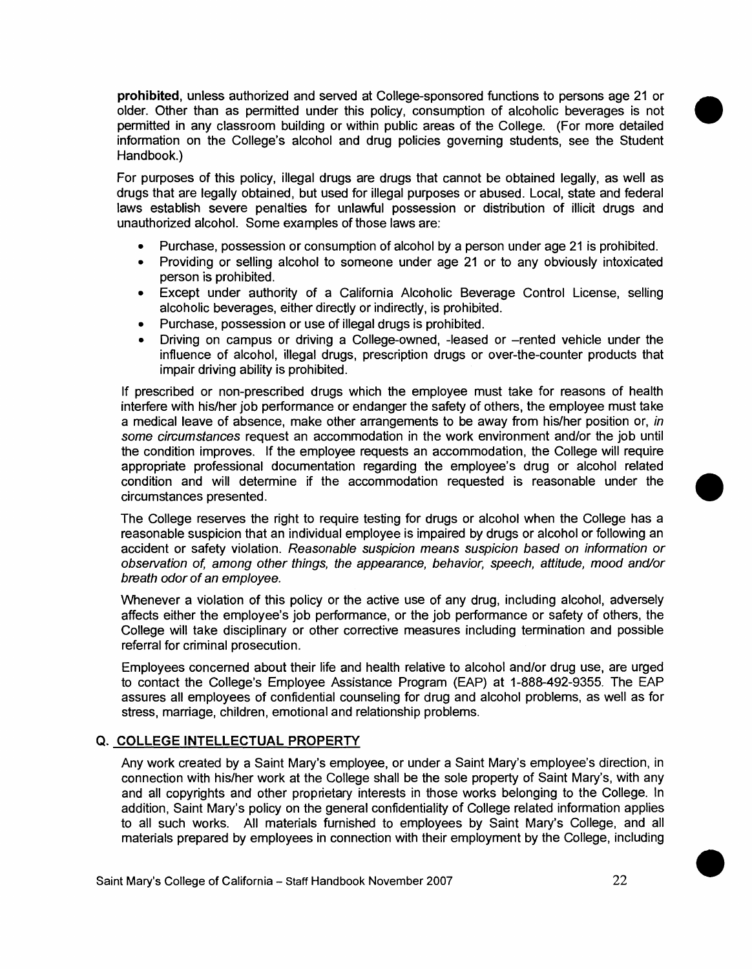**prohibited, unless authorized and served at College-sponsored functions to persons age 21 or older. Other than as permitted under this policy, consumption of alcoholic beverages is not permitted in any classroom building or within public areas of the College. (For more detailed information on the College's alcohol and drug policies governing students, see the Student Handbook.)** 

**For purposes of this policy, illegal drugs are drugs that cannot be obtained legally, as well as drugs that are legally obtained, but used for illegal purposes or abused. Local, state and federal laws establish severe penalties for unlawful possession or distribution of illicit drugs and unauthorized alcohol. Some examples of those laws are:** 

- **Purchase, possession or consumption of alcohol by a person under age 21 is prohibited.**
- **Providing or selling alcohol to someone under age 21 or to any obviously intoxicated person is prohibited.**
- **Except under authority of a California Alcoholic Beverage Control License, selling alcoholic beverages, either directly or indirectly, is prohibited.**
- **Purchase, possession or use of illegal drugs is prohibited.**
- **Driving on campus or driving a College-owned, -leased or —rented vehicle under the influence of alcohol, illegal drugs, prescription drugs or over-the-counter products that impair driving ability is prohibited.**

**If prescribed or non-prescribed drugs which the employee must take for reasons of health interfere with his/her job performance or endanger the safety of others, the employee must take a medical leave of absence, make other arrangements to be away from his/her position or, in some circumstances request an accommodation in the work environment and/or the job until the condition improves. If the employee requests an accommodation, the College will require appropriate professional documentation regarding the employee's drug or alcohol related condition and will determine if the accommodation requested is reasonable under the circumstances presented.** 

**The College reserves the right to require testing for drugs or alcohol when the College has a reasonable suspicion that an individual employee is impaired by drugs or alcohol or following an accident or safety violation. Reasonable suspicion means suspicion based on information or observation of among other things, the appearance, behavior, speech, attitude, mood and/or breath odor of an employee.** 

**Whenever a violation of this policy or the active use of any drug, including alcohol, adversely affects either the employee's job performance, or the job performance or safety of others, the College will take disciplinary or other corrective measures including termination and possible referral for criminal prosecution.** 

**Employees concerned about their life and health relative to alcohol and/or drug use, are urged to contact the College's Employee Assistance Program (EAP) at 1-888-492-9355. The EAP assures all employees of confidential counseling for drug and alcohol problems, as well as for stress, marriage, children, emotional and relationship problems.** 

#### **Q. COLLEGE INTELLECTUAL PROPERTY**

**Any work created by a Saint Mary's employee, or under a Saint Mary's employee's direction, in connection with his/her work at the College shall be the sole property of Saint Mary's, with any and all copyrights and other proprietary interests in those works belonging to the College. In addition, Saint Mary's policy on the general confidentiality of College related information applies to all such works. All materials furnished to employees by Saint Mary's College, and all materials prepared by employees in connection with their employment by the College, including**  •

•